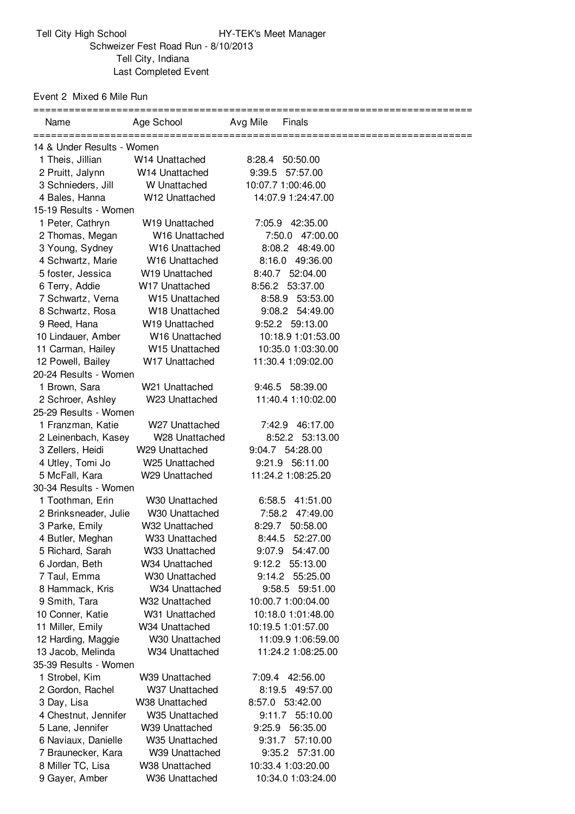Event 2 Mixed 6 Mile Run

| Name                       | Age School                 | Avg Mile | Finals             |  |  |  |
|----------------------------|----------------------------|----------|--------------------|--|--|--|
| 14 & Under Results - Women |                            |          |                    |  |  |  |
| 1 Theis, Jillian           | W14 Unattached             |          | 8:28.4 50:50.00    |  |  |  |
| 2 Pruitt, Jalynn           | W14 Unattached             |          | 9:39.5 57:57.00    |  |  |  |
| 3 Schnieders, Jill         | W Unattached               |          | 10:07.7 1:00:46.00 |  |  |  |
| 4 Bales, Hanna             | W12 Unattached             |          | 14:07.9 1:24:47.00 |  |  |  |
| 15-19 Results - Women      |                            |          |                    |  |  |  |
| 1 Peter, Cathryn           | W19 Unattached             |          | 7:05.9 42:35.00    |  |  |  |
| 2 Thomas, Megan            | W16 Unattached             |          | 7:50.0 47:00.00    |  |  |  |
| 3 Young, Sydney            | W16 Unattached             |          | 8:08.2 48:49.00    |  |  |  |
| 4 Schwartz, Marie          | W16 Unattached             |          | 8:16.0 49:36.00    |  |  |  |
| 5 foster, Jessica          | W19 Unattached             |          | 8:40.7 52:04.00    |  |  |  |
| 6 Terry, Addie             | W17 Unattached             |          | 8:56.2 53:37.00    |  |  |  |
| 7 Schwartz, Verna          | W15 Unattached             |          | 8:58.9 53:53.00    |  |  |  |
| 8 Schwartz, Rosa           | W18 Unattached             |          | 9:08.2 54:49.00    |  |  |  |
| 9 Reed, Hana               | W19 Unattached             |          | 9:52.2 59:13.00    |  |  |  |
| 10 Lindauer, Amber         | W16 Unattached             |          | 10:18.9 1:01:53.00 |  |  |  |
| 11 Carman, Hailey          | W15 Unattached             |          | 10:35.0 1:03:30.00 |  |  |  |
| 12 Powell, Bailey          | W17 Unattached             |          | 11:30.4 1:09:02.00 |  |  |  |
| 20-24 Results - Women      |                            |          |                    |  |  |  |
| 1 Brown, Sara              | W21 Unattached             |          | 9:46.5 58:39.00    |  |  |  |
| 2 Schroer, Ashley          | W23 Unattached             |          | 11:40.4 1:10:02.00 |  |  |  |
| 25-29 Results - Women      |                            |          |                    |  |  |  |
| 1 Franzman, Katie          | W27 Unattached             |          | 7:42.9 46:17.00    |  |  |  |
| 2 Leinenbach, Kasey        | W28 Unattached             |          | 8:52.2 53:13.00    |  |  |  |
| 3 Zellers, Heidi           | W <sub>29</sub> Unattached |          | 9:04.7 54:28.00    |  |  |  |
| 4 Utley, Tomi Jo           | W <sub>25</sub> Unattached |          | 9:21.9 56:11.00    |  |  |  |
| 5 McFall, Kara             | W29 Unattached             |          | 11:24.2 1:08:25.20 |  |  |  |
| 30-34 Results - Women      |                            |          |                    |  |  |  |
| 1 Toothman, Erin           | W30 Unattached             |          | 6:58.5 41:51.00    |  |  |  |
| 2 Brinksneader, Julie      | W30 Unattached             |          | 7:58.2 47:49.00    |  |  |  |
| 3 Parke, Emily             | W32 Unattached             |          | 8:29.7 50:58.00    |  |  |  |
| 4 Butler, Meghan           | W33 Unattached             |          | 8:44.5 52:27.00    |  |  |  |
| 5 Richard, Sarah           | W33 Unattached             | 9:07.9   | 54:47.00           |  |  |  |
| 6 Jordan, Beth             | W34 Unattached             | 9:12.2   | 55:13.00           |  |  |  |
| 7 Taul, Emma               | W30 Unattached             | 9:14.2   | 55:25.00           |  |  |  |
| 8 Hammack, Kris            | W34 Unattached             |          | 9:58.5 59:51.00    |  |  |  |
| 9 Smith, Tara              | W32 Unattached             |          | 10:00.7 1:00:04.00 |  |  |  |
| 10 Conner, Katie           | W31 Unattached             |          | 10:18.0 1:01:48.00 |  |  |  |
| 11 Miller, Emily           | W34 Unattached             |          | 10:19.5 1:01:57.00 |  |  |  |
| 12 Harding, Maggie         | W30 Unattached             |          | 11:09.9 1:06:59.00 |  |  |  |
| 13 Jacob, Melinda          | W34 Unattached             |          | 11:24.2 1:08:25.00 |  |  |  |
| 35-39 Results - Women      |                            |          |                    |  |  |  |
| 1 Strobel, Kim             | W39 Unattached             |          | 7:09.4 42:56.00    |  |  |  |
| 2 Gordon, Rachel           | W37 Unattached             | 8:19.5   | 49:57.00           |  |  |  |
| 3 Day, Lisa                | W38 Unattached             |          | 8:57.0 53:42.00    |  |  |  |
| 4 Chestnut, Jennifer       | W35 Unattached             | 9:11.7   | 55:10.00           |  |  |  |
| 5 Lane, Jennifer           | W39 Unattached             |          | 9:25.9 56:35.00    |  |  |  |
| 6 Naviaux, Danielle        | W35 Unattached             | 9:31.7   | 57:10.00           |  |  |  |
| 7 Braunecker, Kara         | W39 Unattached             |          | 9:35.2 57:31.00    |  |  |  |
| 8 Miller TC, Lisa          | W38 Unattached             |          | 10:33.4 1:03:20.00 |  |  |  |
| 9 Gayer, Amber             | W36 Unattached             |          | 10:34.0 1:03:24.00 |  |  |  |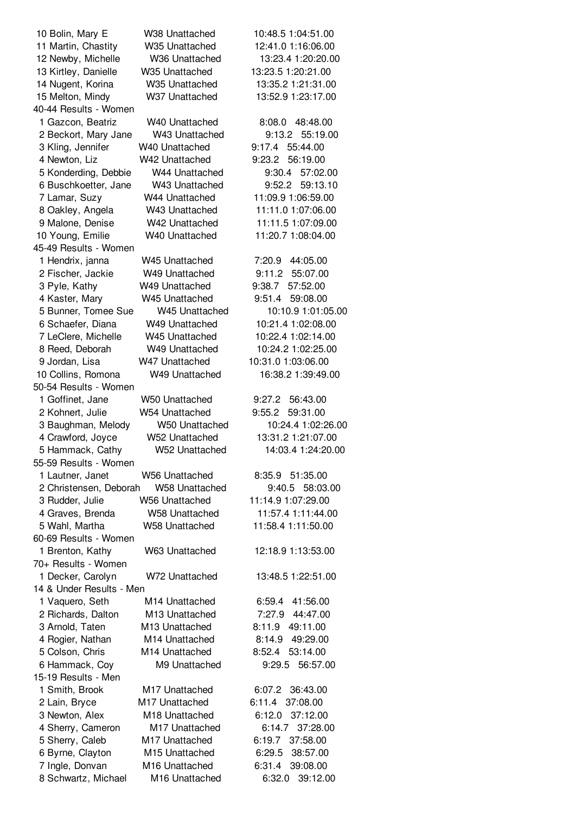| 10 Bolin, Mary E         | W38 Unattached        | 10:48.5 1:04:51.00 |
|--------------------------|-----------------------|--------------------|
| 11 Martin, Chastity      | W35 Unattached        | 12:41.0 1:16:06.00 |
| 12 Newby, Michelle       | W36 Unattached        | 13:23.4 1:20:20.00 |
| 13 Kirtley, Danielle     | W35 Unattached        | 13:23.5 1:20:21.00 |
| 14 Nugent, Korina        | W35 Unattached        | 13:35.2 1:21:31.00 |
| 15 Melton, Mindy         | W37 Unattached        | 13:52.9 1:23:17.00 |
| 40-44 Results - Women    |                       |                    |
| 1 Gazcon, Beatriz        | W40 Unattached        | 8:08.0 48:48.00    |
| 2 Beckort, Mary Jane     | W43 Unattached        | 9:13.2<br>55:19.00 |
| 3 Kling, Jennifer        | W40 Unattached        | 9:17.4<br>55:44.00 |
| 4 Newton, Liz            | W42 Unattached        | 56:19.00<br>9:23.2 |
| 5 Konderding, Debbie     | W44 Unattached        | 9:30.4<br>57:02.00 |
| 6 Buschkoetter, Jane     | W43 Unattached        | 9:52.2<br>59:13.10 |
|                          |                       |                    |
| 7 Lamar, Suzy            | W44 Unattached        | 11:09.9 1:06:59.00 |
| 8 Oakley, Angela         | W43 Unattached        | 11:11.0 1:07:06.00 |
| 9 Malone, Denise         | W42 Unattached        | 11:11.5 1:07:09.00 |
| 10 Young, Emilie         | W40 Unattached        | 11:20.7 1:08:04.00 |
| 45-49 Results - Women    |                       |                    |
| 1 Hendrix, janna         | W45 Unattached        | 7:20.9 44:05.00    |
| 2 Fischer, Jackie        | W49 Unattached        | 9:11.2<br>55:07.00 |
| 3 Pyle, Kathy            | W49 Unattached        | 57:52.00<br>9:38.7 |
| 4 Kaster, Mary           | W45 Unattached        | 9:51.4<br>59:08.00 |
| 5 Bunner, Tomee Sue      | W45 Unattached        | 10:10.9 1:01:05.00 |
| 6 Schaefer, Diana        | W49 Unattached        | 10:21.4 1:02:08.00 |
| 7 LeClere, Michelle      | W45 Unattached        | 10:22.4 1:02:14.00 |
| 8 Reed, Deborah          | W49 Unattached        | 10:24.2 1:02:25.00 |
| 9 Jordan, Lisa           | W47 Unattached        | 10:31.0 1:03:06.00 |
| 10 Collins, Romona       | W49 Unattached        | 16:38.2 1:39:49.00 |
| 50-54 Results - Women    |                       |                    |
| 1 Goffinet, Jane         | W50 Unattached        | 9:27.2<br>56:43.00 |
| 2 Kohnert, Julie         | W54 Unattached        | 9:55.2<br>59:31.00 |
| 3 Baughman, Melody       | W50 Unattached        | 10:24.4 1:02:26.00 |
| 4 Crawford, Joyce        | W52 Unattached        | 13:31.2 1:21:07.00 |
| 5 Hammack, Cathy         | W52 Unattached        | 14:03.4 1:24:20.00 |
| 55-59 Results - Women    |                       |                    |
| 1 Lautner, Janet         | W56 Unattached        | 8:35.9 51:35.00    |
| 2 Christensen, Deborah   | <b>W58 Unattached</b> | 9:40.5 58:03.00    |
|                          | <b>W56 Unattached</b> | 11:14.9 1:07:29.00 |
| 3 Rudder, Julie          |                       |                    |
| 4 Graves, Brenda         | <b>W58 Unattached</b> | 11:57.4 1:11:44.00 |
| 5 Wahl, Martha           | W58 Unattached        | 11:58.4 1:11:50.00 |
| 60-69 Results - Women    |                       |                    |
| 1 Brenton, Kathy         | W63 Unattached        | 12:18.9 1:13:53.00 |
| 70+ Results - Women      |                       |                    |
| 1 Decker, Carolyn        | W72 Unattached        | 13:48.5 1:22:51.00 |
| 14 & Under Results - Men |                       |                    |
| 1 Vaquero, Seth          | M14 Unattached        | 6:59.4<br>41:56.00 |
| 2 Richards, Dalton       | M13 Unattached        | 7:27.9 44:47.00    |
| 3 Arnold, Taten          | M13 Unattached        | 8:11.9 49:11.00    |
| 4 Rogier, Nathan         | M14 Unattached        | 8:14.9<br>49:29.00 |
| 5 Colson, Chris          | M14 Unattached        | 53:14.00<br>8:52.4 |
| 6 Hammack, Coy           | M9 Unattached         | 56:57.00<br>9:29.5 |
| 15-19 Results - Men      |                       |                    |
| 1 Smith, Brook           | M17 Unattached        | 6:07.2<br>36:43.00 |
| 2 Lain, Bryce            | M17 Unattached        | 6:11.4<br>37:08.00 |
| 3 Newton, Alex           | M18 Unattached        | 6:12.0<br>37:12.00 |
| 4 Sherry, Cameron        | M17 Unattached        | 6:14.7<br>37:28.00 |
| 5 Sherry, Caleb          | M17 Unattached        | 6:19.7<br>37:58.00 |
| 6 Byrne, Clayton         | M15 Unattached        | 38:57.00<br>6:29.5 |
| 7 Ingle, Donvan          | M16 Unattached        | 6:31.4<br>39:08.00 |
| 8 Schwartz, Michael      | M16 Unattached        | 6:32.0<br>39:12.00 |
|                          |                       |                    |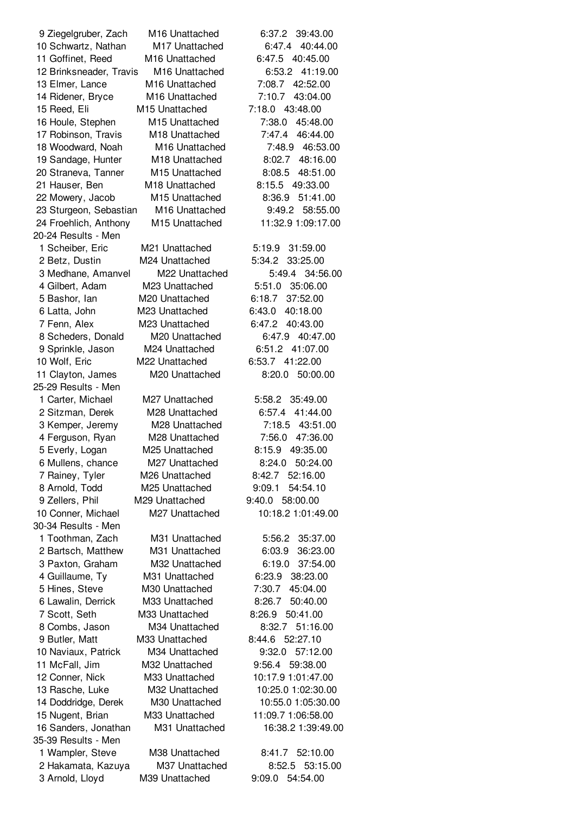20-24 Results - Men 25-29 Results - Men 30-34 Results - Men 35-39 Results - Men

 Ziegelgruber, Zach M16 Unattached 6:37.2 39:43.00 Schwartz, Nathan M17 Unattached 6:47.4 40:44.00 Goffinet, Reed M16 Unattached 6:47.5 40:45.00 Brinksneader, Travis M16 Unattached 6:53.2 41:19.00 Elmer, Lance M16 Unattached 7:08.7 42:52.00 Ridener, Bryce M16 Unattached 7:10.7 43:04.00 Reed, Eli M15 Unattached 7:18.0 43:48.00 Houle, Stephen M15 Unattached 7:38.0 45:48.00 Robinson, Travis M18 Unattached 7:47.4 46:44.00 Woodward, Noah M16 Unattached 7:48.9 46:53.00 Sandage, Hunter M18 Unattached 8:02.7 48:16.00 Straneva, Tanner M15 Unattached 8:08.5 48:51.00 Hauser, Ben M18 Unattached 8:15.5 49:33.00 Mowery, Jacob M15 Unattached 8:36.9 51:41.00 Sturgeon, Sebastian M16 Unattached 9:49.2 58:55.00 Froehlich, Anthony M15 Unattached 11:32.9 1:09:17.00 Scheiber, Eric M21 Unattached 5:19.9 31:59.00 Betz, Dustin M24 Unattached 5:34.2 33:25.00 Medhane, Amanvel M22 Unattached 5:49.4 34:56.00 Gilbert, Adam M23 Unattached 5:51.0 35:06.00 Bashor, Ian M20 Unattached 6:18.7 37:52.00 Latta, John M23 Unattached 6:43.0 40:18.00 Fenn, Alex M23 Unattached 6:47.2 40:43.00 Scheders, Donald M20 Unattached 6:47.9 40:47.00 Sprinkle, Jason M24 Unattached 6:51.2 41:07.00 Wolf, Eric M22 Unattached 6:53.7 41:22.00 Clayton, James M20 Unattached 8:20.0 50:00.00 Carter, Michael M27 Unattached 5:58.2 35:49.00 Sitzman, Derek M28 Unattached 6:57.4 41:44.00 Kemper, Jeremy M28 Unattached 7:18.5 43:51.00 Ferguson, Ryan M28 Unattached 7:56.0 47:36.00 Everly, Logan M25 Unattached 8:15.9 49:35.00 Mullens, chance M27 Unattached 8:24.0 50:24.00 Rainey, Tyler M26 Unattached 8:42.7 52:16.00 Arnold, Todd M25 Unattached 9:09.1 54:54.10 Zellers, Phil M29 Unattached 9:40.0 58:00.00 Conner, Michael M27 Unattached 10:18.2 1:01:49.00 Toothman, Zach M31 Unattached 5:56.2 35:37.00 Bartsch, Matthew M31 Unattached 6:03.9 36:23.00 Paxton, Graham M32 Unattached 6:19.0 37:54.00 Guillaume, Ty M31 Unattached 6:23.9 38:23.00 Hines, Steve M30 Unattached 7:30.7 45:04.00 Lawalin, Derrick M33 Unattached 8:26.7 50:40.00 Scott, Seth M33 Unattached 8:26.9 50:41.00 Combs, Jason M34 Unattached 8:32.7 51:16.00 Butler, Matt M33 Unattached 8:44.6 52:27.10 Naviaux, Patrick M34 Unattached 9:32.0 57:12.00 McFall, Jim M32 Unattached 9:56.4 59:38.00 Conner, Nick M33 Unattached 10:17.9 1:01:47.00 Rasche, Luke M32 Unattached 10:25.0 1:02:30.00 Doddridge, Derek M30 Unattached 10:55.0 1:05:30.00 Nugent, Brian M33 Unattached 11:09.7 1:06:58.00 Sanders, Jonathan M31 Unattached 16:38.2 1:39:49.00 Wampler, Steve M38 Unattached 8:41.7 52:10.00 Hakamata, Kazuya M37 Unattached 8:52.5 53:15.00 Arnold, Lloyd M39 Unattached 9:09.0 54:54.00